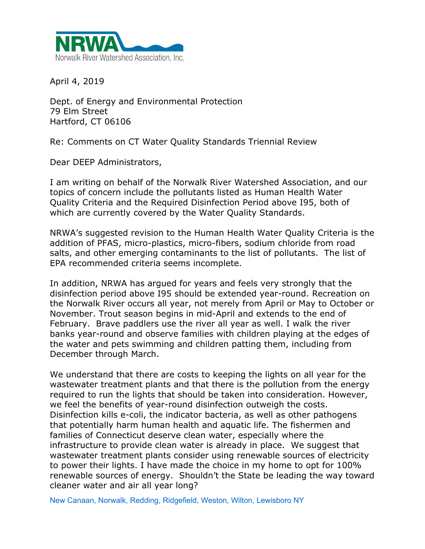

April 4, 2019

Dept. of Energy and Environmental Protection 79 Elm Street Hartford, CT 06106

Re: Comments on CT Water Quality Standards Triennial Review

Dear DEEP Administrators,

I am writing on behalf of the Norwalk River Watershed Association, and our topics of concern include the pollutants listed as Human Health Water Quality Criteria and the Required Disinfection Period above I95, both of which are currently covered by the Water Quality Standards.

NRWA's suggested revision to the Human Health Water Quality Criteria is the addition of PFAS, micro-plastics, micro-fibers, sodium chloride from road salts, and other emerging contaminants to the list of pollutants. The list of EPA recommended criteria seems incomplete.

In addition, NRWA has argued for years and feels very strongly that the disinfection period above I95 should be extended year-round. Recreation on the Norwalk River occurs all year, not merely from April or May to October or November. Trout season begins in mid-April and extends to the end of February. Brave paddlers use the river all year as well. I walk the river banks year-round and observe families with children playing at the edges of the water and pets swimming and children patting them, including from December through March.

We understand that there are costs to keeping the lights on all year for the wastewater treatment plants and that there is the pollution from the energy required to run the lights that should be taken into consideration. However, we feel the benefits of year-round disinfection outweigh the costs. Disinfection kills e-coli, the indicator bacteria, as well as other pathogens that potentially harm human health and aquatic life. The fishermen and families of Connecticut deserve clean water, especially where the infrastructure to provide clean water is already in place. We suggest that wastewater treatment plants consider using renewable sources of electricity to power their lights. I have made the choice in my home to opt for 100% renewable sources of energy. Shouldn't the State be leading the way toward cleaner water and air all year long?

New Canaan, Norwalk, Redding, Ridgefield, Weston, Wilton, Lewisboro NY